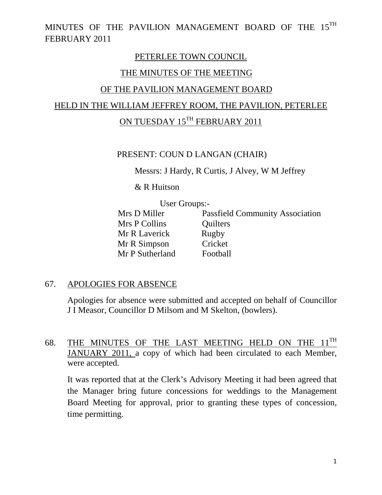#### PETERLEE TOWN COUNCIL

#### THE MINUTES OF THE MEETING

#### OF THE PAVILION MANAGEMENT BOARD

## HELD IN THE WILLIAM JEFFREY ROOM, THE PAVILION, PETERLEE

## ON TUESDAY 15<sup>TH</sup> FEBRUARY 2011

#### PRESENT: COUN D LANGAN (CHAIR)

Messrs: J Hardy, R Curtis, J Alvey, W M Jeffrey

& R Huitson

User Groups:-<br>Mrs D Miller Pa Passfield Community Association Mrs P Collins Quilters Mr R Laverick Rugby Mr R Simpson Cricket Mr P Sutherland Football

#### 67. APOLOGIES FOR ABSENCE

Apologies for absence were submitted and accepted on behalf of Councillor J I Measor, Councillor D Milsom and M Skelton, (bowlers).

#### 68. THE MINUTES OF THE LAST MEETING HELD ON THE  $11^{TH}$ JANUARY 2011, a copy of which had been circulated to each Member, were accepted.

It was reported that at the Clerk's Advisory Meeting it had been agreed that the Manager bring future concessions for weddings to the Management Board Meeting for approval, prior to granting these types of concession, time permitting.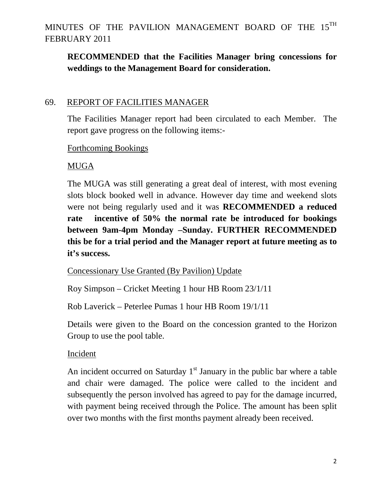## **RECOMMENDED that the Facilities Manager bring concessions for weddings to the Management Board for consideration.**

#### 69. REPORT OF FACILITIES MANAGER

The Facilities Manager report had been circulated to each Member. The report gave progress on the following items:-

#### Forthcoming Bookings

#### MUGA

The MUGA was still generating a great deal of interest, with most evening slots block booked well in advance. However day time and weekend slots were not being regularly used and it was **RECOMMENDED a reduced rate incentive of 50% the normal rate be introduced for bookings between 9am-4pm Monday –Sunday. FURTHER RECOMMENDED this be for a trial period and the Manager report at future meeting as to it's success.** 

Concessionary Use Granted (By Pavilion) Update

Roy Simpson – Cricket Meeting 1 hour HB Room 23/1/11

Rob Laverick – Peterlee Pumas 1 hour HB Room 19/1/11

Details were given to the Board on the concession granted to the Horizon Group to use the pool table.

#### Incident

An incident occurred on Saturday  $1<sup>st</sup>$  January in the public bar where a table and chair were damaged. The police were called to the incident and subsequently the person involved has agreed to pay for the damage incurred, with payment being received through the Police. The amount has been split over two months with the first months payment already been received.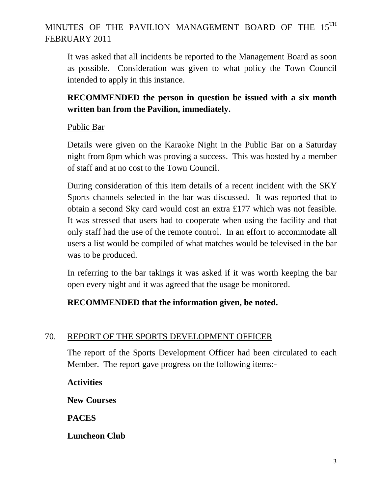It was asked that all incidents be reported to the Management Board as soon as possible. Consideration was given to what policy the Town Council intended to apply in this instance.

## **RECOMMENDED the person in question be issued with a six month written ban from the Pavilion, immediately.**

### Public Bar

Details were given on the Karaoke Night in the Public Bar on a Saturday night from 8pm which was proving a success. This was hosted by a member of staff and at no cost to the Town Council.

During consideration of this item details of a recent incident with the SKY Sports channels selected in the bar was discussed. It was reported that to obtain a second Sky card would cost an extra £177 which was not feasible. It was stressed that users had to cooperate when using the facility and that only staff had the use of the remote control. In an effort to accommodate all users a list would be compiled of what matches would be televised in the bar was to be produced.

In referring to the bar takings it was asked if it was worth keeping the bar open every night and it was agreed that the usage be monitored.

## **RECOMMENDED that the information given, be noted.**

## 70. REPORT OF THE SPORTS DEVELOPMENT OFFICER

The report of the Sports Development Officer had been circulated to each Member. The report gave progress on the following items:-

**Activities** 

**New Courses** 

**PACES** 

**Luncheon Club**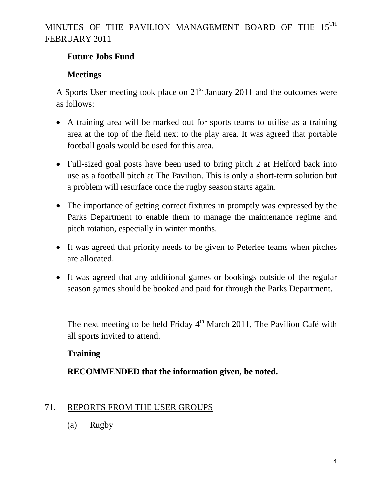#### **Future Jobs Fund**

### **Meetings**

A Sports User meeting took place on  $21<sup>st</sup>$  January 2011 and the outcomes were as follows:

- A training area will be marked out for sports teams to utilise as a training area at the top of the field next to the play area. It was agreed that portable football goals would be used for this area.
- Full-sized goal posts have been used to bring pitch 2 at Helford back into use as a football pitch at The Pavilion. This is only a short-term solution but a problem will resurface once the rugby season starts again.
- The importance of getting correct fixtures in promptly was expressed by the Parks Department to enable them to manage the maintenance regime and pitch rotation, especially in winter months.
- It was agreed that priority needs to be given to Peterlee teams when pitches are allocated.
- It was agreed that any additional games or bookings outside of the regular season games should be booked and paid for through the Parks Department.

The next meeting to be held Friday  $4<sup>th</sup>$  March 2011, The Pavilion Café with all sports invited to attend.

### **Training**

### **RECOMMENDED that the information given, be noted.**

### 71. REPORTS FROM THE USER GROUPS

(a) Rugby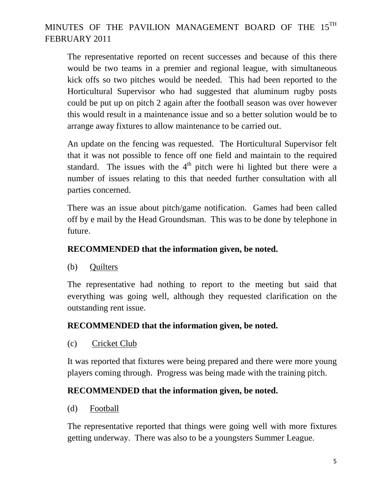The representative reported on recent successes and because of this there would be two teams in a premier and regional league, with simultaneous kick offs so two pitches would be needed. This had been reported to the Horticultural Supervisor who had suggested that aluminum rugby posts could be put up on pitch 2 again after the football season was over however this would result in a maintenance issue and so a better solution would be to arrange away fixtures to allow maintenance to be carried out.

An update on the fencing was requested. The Horticultural Supervisor felt that it was not possible to fence off one field and maintain to the required standard. The issues with the  $4<sup>th</sup>$  pitch were hi lighted but there were a number of issues relating to this that needed further consultation with all parties concerned.

There was an issue about pitch/game notification. Games had been called off by e mail by the Head Groundsman. This was to be done by telephone in future.

### **RECOMMENDED that the information given, be noted.**

(b) Quilters

The representative had nothing to report to the meeting but said that everything was going well, although they requested clarification on the outstanding rent issue.

### **RECOMMENDED that the information given, be noted.**

(c) Cricket Club

It was reported that fixtures were being prepared and there were more young players coming through. Progress was being made with the training pitch.

### **RECOMMENDED that the information given, be noted.**

(d) Football

The representative reported that things were going well with more fixtures getting underway. There was also to be a youngsters Summer League.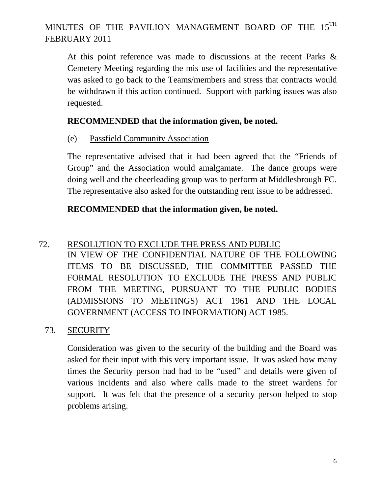At this point reference was made to discussions at the recent Parks & Cemetery Meeting regarding the mis use of facilities and the representative was asked to go back to the Teams/members and stress that contracts would be withdrawn if this action continued. Support with parking issues was also requested.

### **RECOMMENDED that the information given, be noted.**

### (e) Passfield Community Association

The representative advised that it had been agreed that the "Friends of Group" and the Association would amalgamate. The dance groups were doing well and the cheerleading group was to perform at Middlesbrough FC. The representative also asked for the outstanding rent issue to be addressed.

### **RECOMMENDED that the information given, be noted.**

## 72. RESOLUTION TO EXCLUDE THE PRESS AND PUBLIC

IN VIEW OF THE CONFIDENTIAL NATURE OF THE FOLLOWING ITEMS TO BE DISCUSSED, THE COMMITTEE PASSED THE FORMAL RESOLUTION TO EXCLUDE THE PRESS AND PUBLIC FROM THE MEETING, PURSUANT TO THE PUBLIC BODIES (ADMISSIONS TO MEETINGS) ACT 1961 AND THE LOCAL GOVERNMENT (ACCESS TO INFORMATION) ACT 1985.

### 73. SECURITY

Consideration was given to the security of the building and the Board was asked for their input with this very important issue. It was asked how many times the Security person had had to be "used" and details were given of various incidents and also where calls made to the street wardens for support. It was felt that the presence of a security person helped to stop problems arising.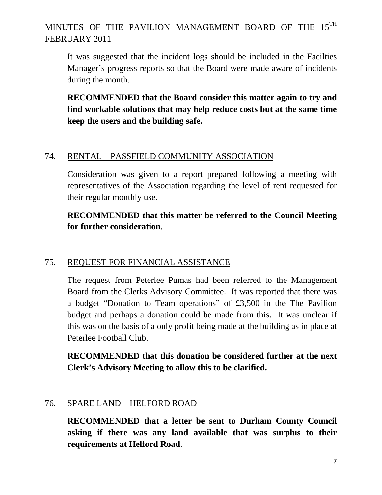It was suggested that the incident logs should be included in the Facilties Manager's progress reports so that the Board were made aware of incidents during the month.

**RECOMMENDED that the Board consider this matter again to try and find workable solutions that may help reduce costs but at the same time keep the users and the building safe.** 

#### 74. RENTAL – PASSFIELD COMMUNITY ASSOCIATION

Consideration was given to a report prepared following a meeting with representatives of the Association regarding the level of rent requested for their regular monthly use.

### **RECOMMENDED that this matter be referred to the Council Meeting for further consideration**.

### 75. REQUEST FOR FINANCIAL ASSISTANCE

The request from Peterlee Pumas had been referred to the Management Board from the Clerks Advisory Committee. It was reported that there was a budget "Donation to Team operations" of £3,500 in the The Pavilion budget and perhaps a donation could be made from this. It was unclear if this was on the basis of a only profit being made at the building as in place at Peterlee Football Club.

**RECOMMENDED that this donation be considered further at the next Clerk's Advisory Meeting to allow this to be clarified.** 

#### 76. SPARE LAND – HELFORD ROAD

**RECOMMENDED that a letter be sent to Durham County Council asking if there was any land available that was surplus to their requirements at Helford Road**.